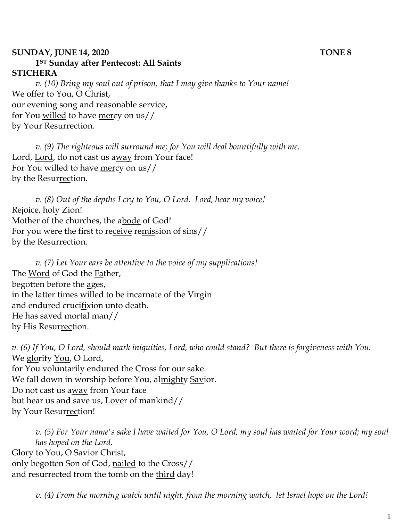#### **SUNDAY, JUNE 14, 2020 TONE 8 1ST Sunday after Pentecost: All Saints STICHERA**

*v. (10) Bring my soul out of prison, that I may give thanks to Your name!*  We offer to You, O Christ, our evening song and reasonable service, for You willed to have mercy on us// by Your Resurrection.

*v.* (9) The righteous will surround me; for You will deal bountifully with me. Lord, Lord, do not cast us away from Your face! For You willed to have mercy on us// by the Resurrection.

*v. (8) Out of the depths I cry to You, O Lord. Lord, hear my voice!* Rejoice, holy Zion! Mother of the churches, the abode of God! For you were the first to receive remission of sins// by the Resurrection.

*v. (7) Let Your ears be attentive to the voice of my supplications!* The Word of God the Father, begotten before the ages, in the latter times willed to be incarnate of the Virgin and endured crucifixion unto death. He has saved mortal man// by His Resurrection.

*v. (6) If You, O Lord, should mark iniquities, Lord, who could stand? But there is forgiveness with You.*  We glorify You, O Lord, for You voluntarily endured the Cross for our sake. We fall down in worship before You, almighty Savior. Do not cast us away from Your face but hear us and save us, Lover of mankind// by Your Resurrection!

*v. (5) For Your name's sake I have waited for You, O Lord, my soul has waited for Your word; my soul has hoped on the Lord.*  Glory to You, O Savior Christ, only begotten Son of God, nailed to the Cross// and resurrected from the tomb on the third day!

*v. (4) From the morning watch until night, from the morning watch, let Israel hope on the Lord!*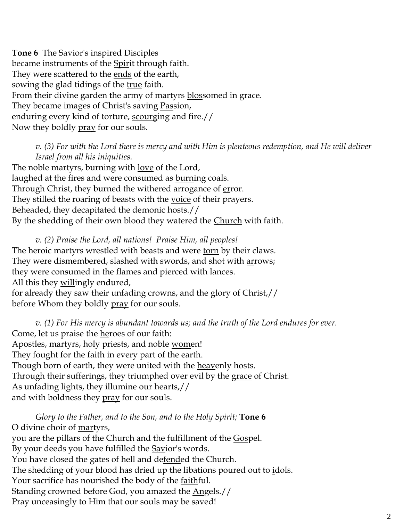**Tone 6** The Savior's inspired Disciples became instruments of the Spirit through faith. They were scattered to the <u>ends</u> of the earth, sowing the glad tidings of the true faith. From their divine garden the army of martyrs blossomed in grace. They became images of Christ's saving Passion, enduring every kind of torture, scourging and fire.// Now they boldly pray for our souls.

*v. (3) For with the Lord there is mercy and with Him is plenteous redemption, and He will deliver Israel from all his iniquities.*

The noble martyrs, burning with <u>love</u> of the Lord, laughed at the fires and were consumed as **burning** coals. Through Christ, they burned the withered arrogance of error. They stilled the roaring of beasts with the voice of their prayers. Beheaded, they decapitated the demonic hosts.// By the shedding of their own blood they watered the *Church* with faith.

*v. (2) Praise the Lord, all nations! Praise Him, all peoples!* The heroic martyrs wrestled with beasts and were torn by their claws. They were dismembered, slashed with swords, and shot with arrows; they were consumed in the flames and pierced with lances. All this they willingly endured, for already they saw their unfading crowns, and the glory of Christ,// before Whom they boldly pray for our souls.

*v. (1) For His mercy is abundant towards us; and the truth of the Lord endures for ever.*  Come, let us praise the heroes of our faith: Apostles, martyrs, holy priests, and noble women! They fought for the faith in every part of the earth. Though born of earth, they were united with the heavenly hosts. Through their sufferings, they triumphed over evil by the grace of Christ. As unfading lights, they illumine our hearts,// and with boldness they pray for our souls.

*Glory to the Father, and to the Son, and to the Holy Spirit;* **Tone 6** O divine choir of martyrs, you are the pillars of the Church and the fulfillment of the Gospel. By your deeds you have fulfilled the **Savior's words**. You have closed the gates of hell and de<u>fend</u>ed the Church. The shedding of your blood has dried up the libations poured out to idols. Your sacrifice has nourished the body of the faithful. Standing crowned before God, you amazed the Angels.// Pray unceasingly to Him that our souls may be saved!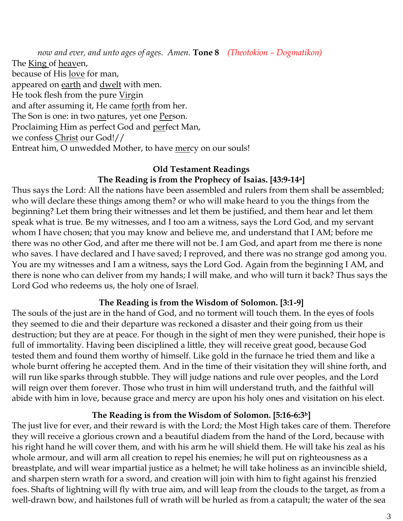*now and ever, and unto ages of ages. Amen.* **Tone 8** *(Theotokion – Dogmatikon)* The King of heaven, because of His love for man, appeared on earth and dwelt with men. He took flesh from the pure Virgin and after assuming it, He came forth from her. The Son is one: in two natures, yet one Person. Proclaiming Him as perfect God and perfect Man, we confess Christ our God!// Entreat him, O unwedded Mother, to have mercy on our souls!

# **Old Testament Readings The Reading is from the Prophecy of Isaias. [43:9-14a]**

Thus says the Lord: All the nations have been assembled and rulers from them shall be assembled; who will declare these things among them? or who will make heard to you the things from the beginning? Let them bring their witnesses and let them be justified, and them hear and let them speak what is true. Be my witnesses, and I too am a witness, says the Lord God, and my servant whom I have chosen; that you may know and believe me, and understand that I AM; before me there was no other God, and after me there will not be. I am God, and apart from me there is none who saves. I have declared and I have saved; I reproved, and there was no strange god among you. You are my witnesses and I am a witness, says the Lord God. Again from the beginning I AM, and there is none who can deliver from my hands; I will make, and who will turn it back? Thus says the Lord God who redeems us, the holy one of Israel.

# **The Reading is from the Wisdom of Solomon. [3:1-9]**

The souls of the just are in the hand of God, and no torment will touch them. In the eyes of fools they seemed to die and their departure was reckoned a disaster and their going from us their destruction; but they are at peace. For though in the sight of men they were punished, their hope is full of immortality. Having been disciplined a little, they will receive great good, because God tested them and found them worthy of himself. Like gold in the furnace he tried them and like a whole burnt offering he accepted them. And in the time of their visitation they will shine forth, and will run like sparks through stubble. They will judge nations and rule over peoples, and the Lord will reign over them forever. Those who trust in him will understand truth, and the faithful will abide with him in love, because grace and mercy are upon his holy ones and visitation on his elect.

# **The Reading is from the Wisdom of Solomon. [5:16-6:3b]**

The just live for ever, and their reward is with the Lord; the Most High takes care of them. Therefore they will receive a glorious crown and a beautiful diadem from the hand of the Lord, because with his right hand he will cover them, and with his arm he will shield them. He will take his zeal as his whole armour, and will arm all creation to repel his enemies; he will put on righteousness as a breastplate, and will wear impartial justice as a helmet; he will take holiness as an invincible shield, and sharpen stern wrath for a sword, and creation will join with him to fight against his frenzied foes. Shafts of lightning will fly with true aim, and will leap from the clouds to the target, as from a well-drawn bow, and hailstones full of wrath will be hurled as from a catapult; the water of the sea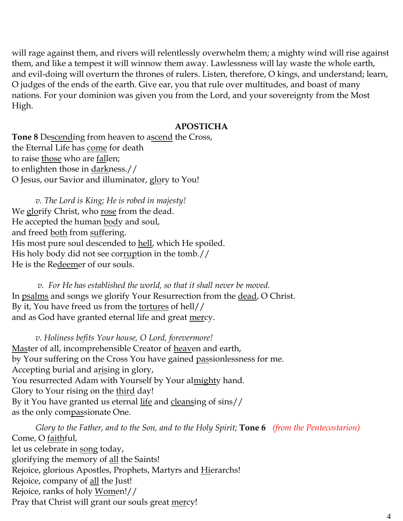will rage against them, and rivers will relentlessly overwhelm them; a mighty wind will rise against them, and like a tempest it will winnow them away. Lawlessness will lay waste the whole earth, and evil-doing will overturn the thrones of rulers. Listen, therefore, O kings, and understand; learn, O judges of the ends of the earth. Give ear, you that rule over multitudes, and boast of many nations. For your dominion was given you from the Lord, and your sovereignty from the Most High.

#### **APOSTICHA**

**Tone 8** Descending from heaven to ascend the Cross, the Eternal Life has come for death to raise those who are fallen; to enlighten those in darkness.// O Jesus, our Savior and illuminator, glory to You!

*v. The Lord is King; He is robed in majesty!*  We glorify Christ, who rose from the dead. He accepted the human body and soul, and freed both from suffering. His most pure soul descended to hell, which He spoiled. His holy body did not see corruption in the tomb.// He is the Redeemer of our souls.

*v. For He has established the world, so that it shall never be moved.* In psalms and songs we glorify Your Resurrection from the dead, O Christ. By it, You have freed us from the tortures of hell// and as God have granted eternal life and great <u>mer</u>cy.

*v. Holiness befits Your house, O Lord, forevermore!*  Master of all, incomprehensible Creator of heaven and earth, by Your suffering on the Cross You have gained passionlessness for me. Accepting burial and arising in glory, You resurrected Adam with Yourself by Your al<u>might</u>y hand. Glory to Your rising on the third day! By it You have granted us eternal life and cleansing of sins// as the only compassionate One.

*Glory to the Father, and to the Son, and to the Holy Spirit;* **Tone 6** *(from the Pentecostarion)* Come, O faithful, let us celebrate in song today, glorifying the memory of <u>all</u> the Saints! Rejoice, glorious Apostles, Prophets, Martyrs and Hierarchs! Rejoice, company of all the Just! Rejoice, ranks of holy Women!// Pray that Christ will grant our souls great mercy!